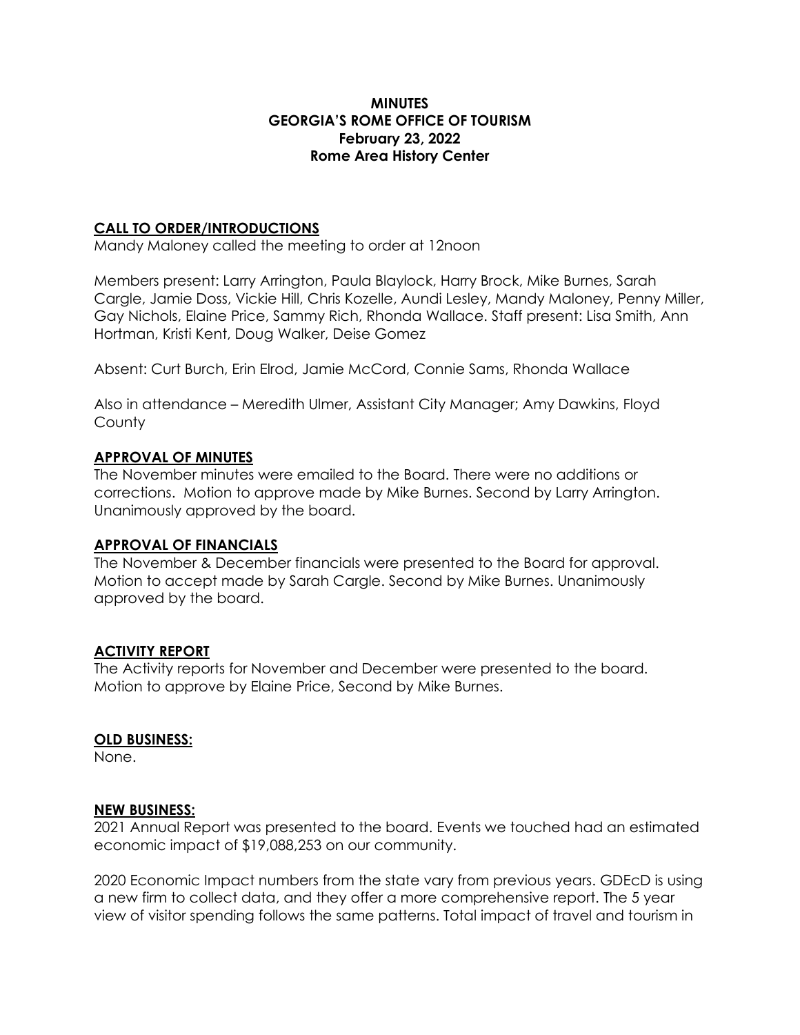### **MINUTES GEORGIA'S ROME OFFICE OF TOURISM February 23, 2022 Rome Area History Center**

## **CALL TO ORDER/INTRODUCTIONS**

Mandy Maloney called the meeting to order at 12noon

Members present: Larry Arrington, Paula Blaylock, Harry Brock, Mike Burnes, Sarah Cargle, Jamie Doss, Vickie Hill, Chris Kozelle, Aundi Lesley, Mandy Maloney, Penny Miller, Gay Nichols, Elaine Price, Sammy Rich, Rhonda Wallace. Staff present: Lisa Smith, Ann Hortman, Kristi Kent, Doug Walker, Deise Gomez

Absent: Curt Burch, Erin Elrod, Jamie McCord, Connie Sams, Rhonda Wallace

Also in attendance – Meredith Ulmer, Assistant City Manager; Amy Dawkins, Floyd **County** 

## **APPROVAL OF MINUTES**

The November minutes were emailed to the Board. There were no additions or corrections. Motion to approve made by Mike Burnes. Second by Larry Arrington. Unanimously approved by the board.

### **APPROVAL OF FINANCIALS**

The November & December financials were presented to the Board for approval. Motion to accept made by Sarah Cargle. Second by Mike Burnes. Unanimously approved by the board.

# **ACTIVITY REPORT**

The Activity reports for November and December were presented to the board. Motion to approve by Elaine Price, Second by Mike Burnes.

### **OLD BUSINESS:**

None.

### **NEW BUSINESS:**

2021 Annual Report was presented to the board. Events we touched had an estimated economic impact of \$19,088,253 on our community.

2020 Economic Impact numbers from the state vary from previous years. GDEcD is using a new firm to collect data, and they offer a more comprehensive report. The 5 year view of visitor spending follows the same patterns. Total impact of travel and tourism in